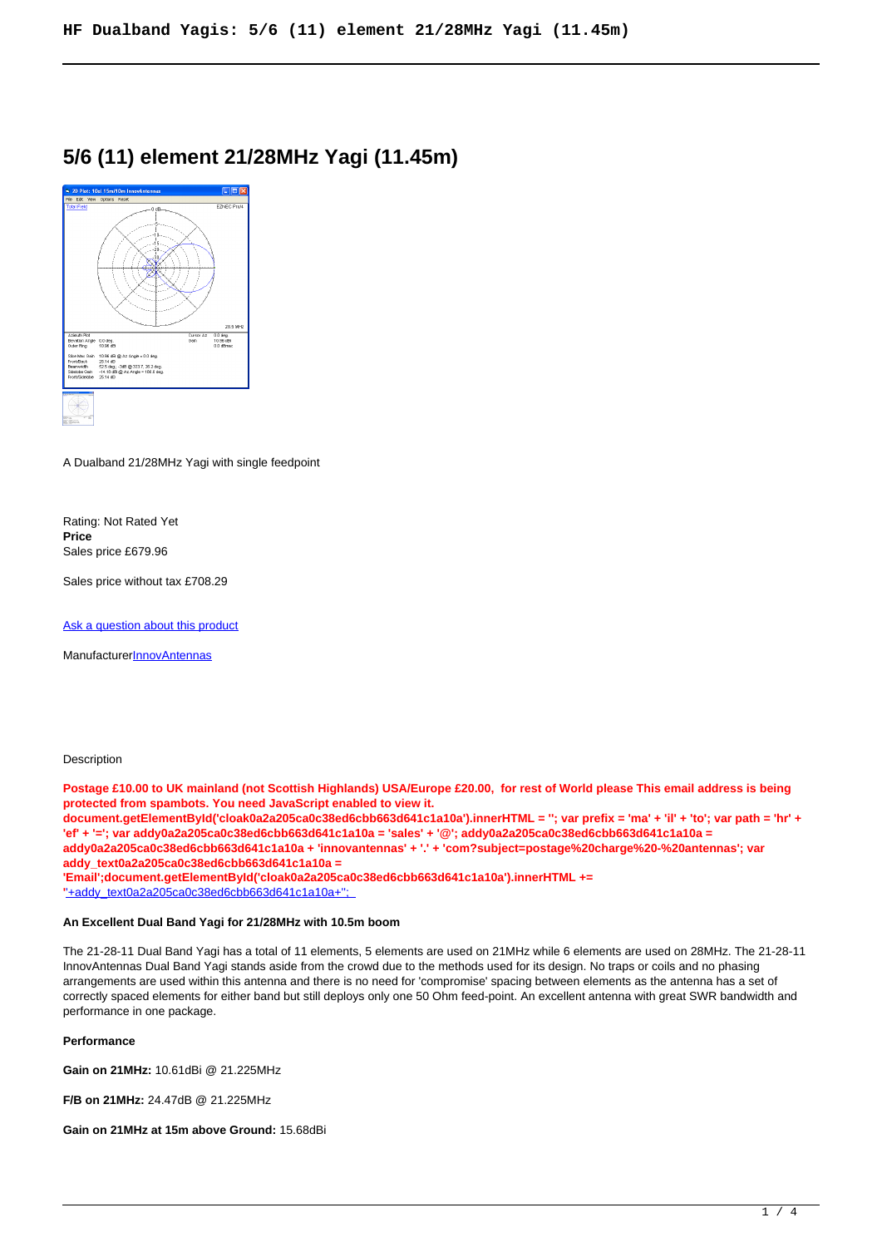# **5/6 (11) element 21/28MHz Yagi (11.45m)**



A Dualband 21/28MHz Yagi with single feedpoint

Rating: Not Rated Yet **Price**  Sales price £679.96

Sales price without tax £708.29

[Ask a question about this product](https://innovantennas.com/index.php?option=com_virtuemart&view=productdetails&task=askquestion&virtuemart_product_id=162&virtuemart_category_id=12&tmpl=component)

Manufacturer**[InnovAntennas](https://innovantennas.com/index.php?option=com_virtuemart&view=manufacturer&virtuemart_manufacturer_id=1&tmpl=component)** 

#### **Description**

**Postage £10.00 to UK mainland (not Scottish Highlands) USA/Europe £20.00, for rest of World please This email address is being protected from spambots. You need JavaScript enabled to view it. document.getElementById('cloak0a2a205ca0c38ed6cbb663d641c1a10a').innerHTML = ''; var prefix = 'ma' + 'il' + 'to'; var path = 'hr' + 'ef' + '='; var addy0a2a205ca0c38ed6cbb663d641c1a10a = 'sales' + '@'; addy0a2a205ca0c38ed6cbb663d641c1a10a = addy0a2a205ca0c38ed6cbb663d641c1a10a + 'innovantennas' + '.' + 'com?subject=postage%20charge%20-%20antennas'; var addy\_text0a2a205ca0c38ed6cbb663d641c1a10a = 'Email';document.getElementById('cloak0a2a205ca0c38ed6cbb663d641c1a10a').innerHTML += '**'+addy\_text0a2a205ca0c38ed6cbb663d641c1a10a+'';

#### **An Excellent Dual Band Yagi for 21/28MHz with 10.5m boom**

The 21-28-11 Dual Band Yagi has a total of 11 elements, 5 elements are used on 21MHz while 6 elements are used on 28MHz. The 21-28-11 InnovAntennas Dual Band Yagi stands aside from the crowd due to the methods used for its design. No traps or coils and no phasing arrangements are used within this antenna and there is no need for 'compromise' spacing between elements as the antenna has a set of correctly spaced elements for either band but still deploys only one 50 Ohm feed-point. An excellent antenna with great SWR bandwidth and performance in one package.

### **Performance**

**Gain on 21MHz:** 10.61dBi @ 21.225MHz

**F/B on 21MHz:** 24.47dB @ 21.225MHz

**Gain on 21MHz at 15m above Ground:** 15.68dBi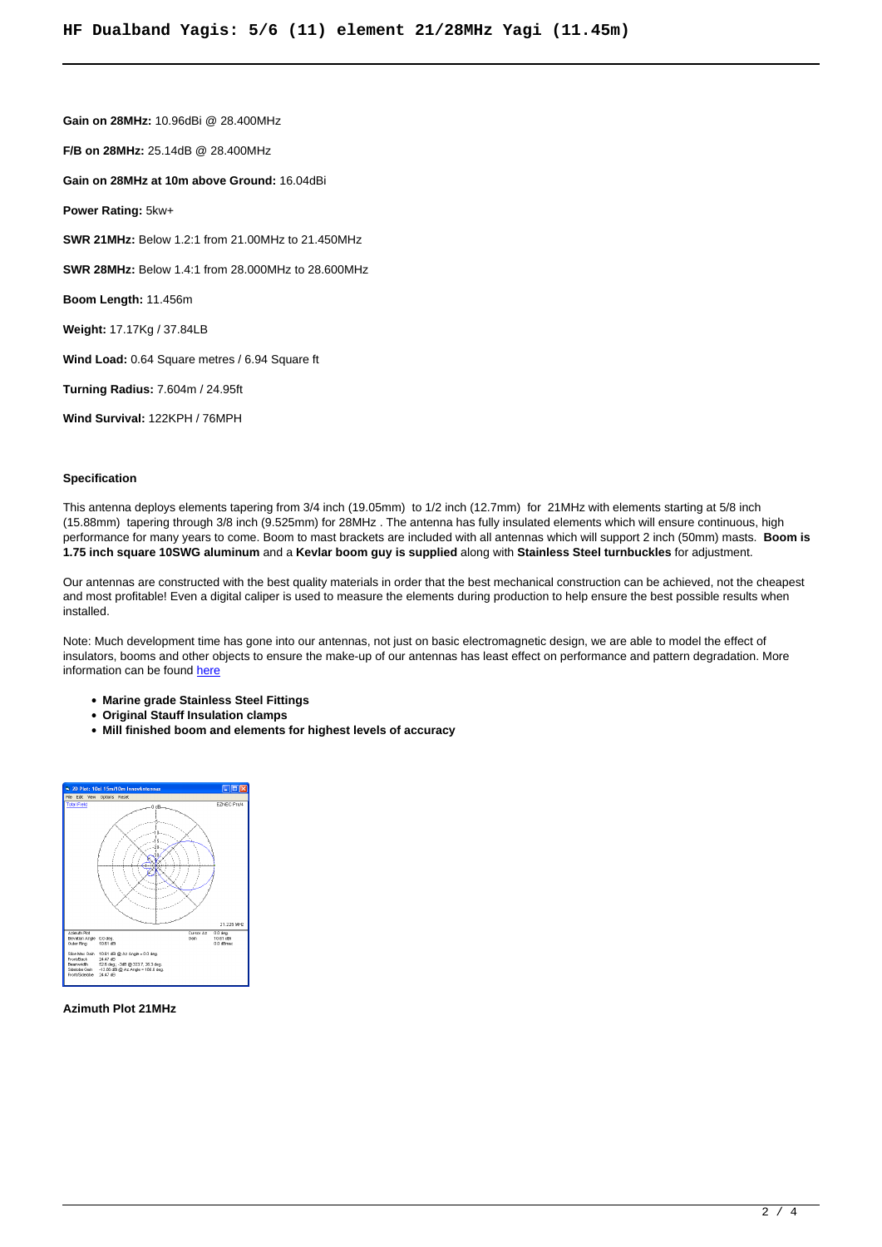**Gain on 28MHz:** 10.96dBi @ 28.400MHz **F/B on 28MHz:** 25.14dB @ 28.400MHz **Gain on 28MHz at 10m above Ground:** 16.04dBi **Power Rating:** 5kw+ **SWR 21MHz:** Below 1.2:1 from 21.00MHz to 21.450MHz **SWR 28MHz:** Below 1.4:1 from 28.000MHz to 28.600MHz **Boom Length:** 11.456m **Weight:** 17.17Kg / 37.84LB **Wind Load:** 0.64 Square metres / 6.94 Square ft **Turning Radius:** 7.604m / 24.95ft **Wind Survival:** 122KPH / 76MPH

#### **Specification**

This antenna deploys elements tapering from 3/4 inch (19.05mm) to 1/2 inch (12.7mm) for 21MHz with elements starting at 5/8 inch (15.88mm) tapering through 3/8 inch (9.525mm) for 28MHz . The antenna has fully insulated elements which will ensure continuous, high performance for many years to come. Boom to mast brackets are included with all antennas which will support 2 inch (50mm) masts. **Boom is 1.75 inch square 10SWG aluminum** and a **Kevlar boom guy is supplied** along with **Stainless Steel turnbuckles** for adjustment.

Our antennas are constructed with the best quality materials in order that the best mechanical construction can be achieved, not the cheapest and most profitable! Even a digital caliper is used to measure the elements during production to help ensure the best possible results when installed.

Note: Much development time has gone into our antennas, not just on basic electromagnetic design, we are able to model the effect of insulators, booms and other objects to ensure the make-up of our antennas has least effect on performance and pattern degradation. More information can be found [here](module-guide.html)

- **Marine grade Stainless Steel Fittings**
- **Original Stauff Insulation clamps**
- **Mill finished boom and elements for highest levels of accuracy**



#### **Azimuth Plot 21MHz**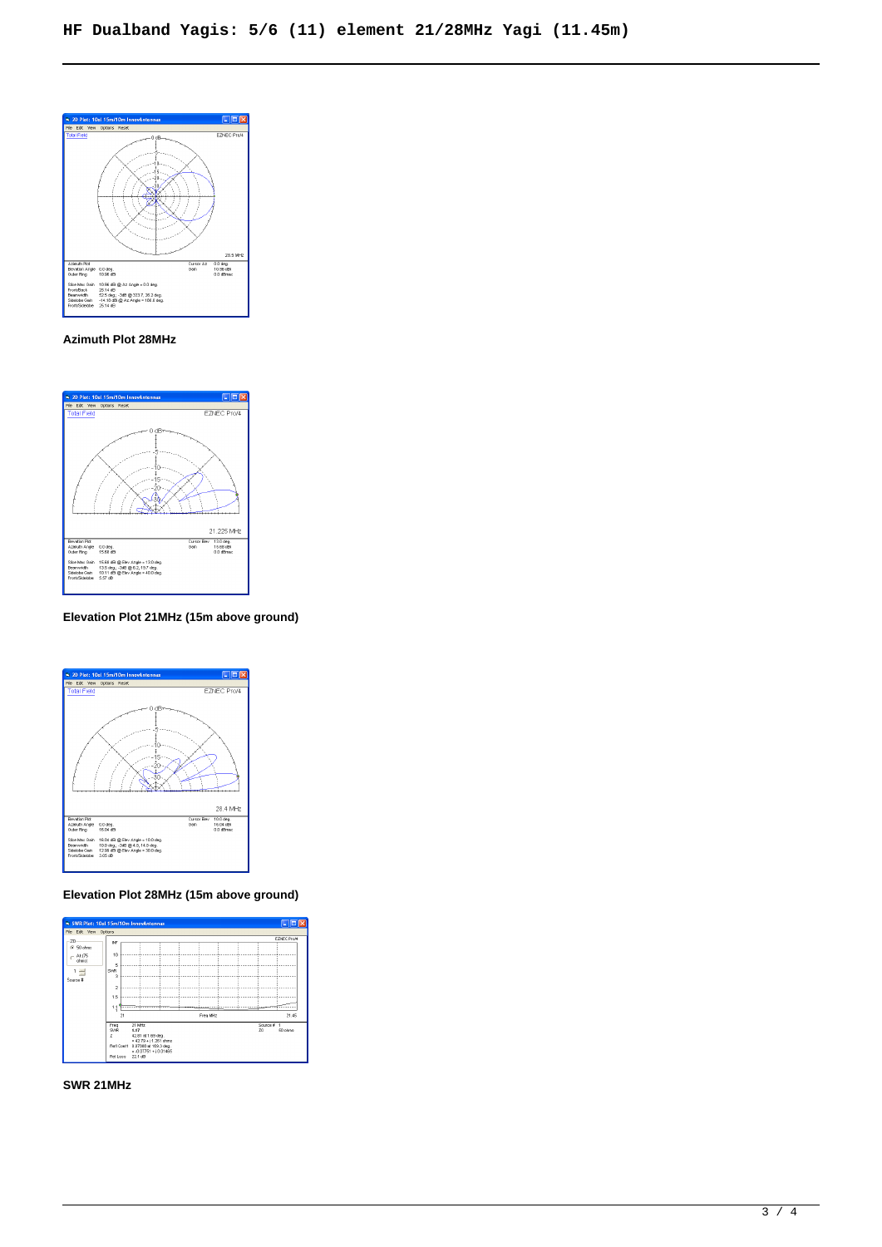

### **Azimuth Plot 28MHz**



# **Elevation Plot 21MHz (15m above ground)**



# **Elevation Plot 28MHz (15m above ground)**



## **SWR 21MHz**